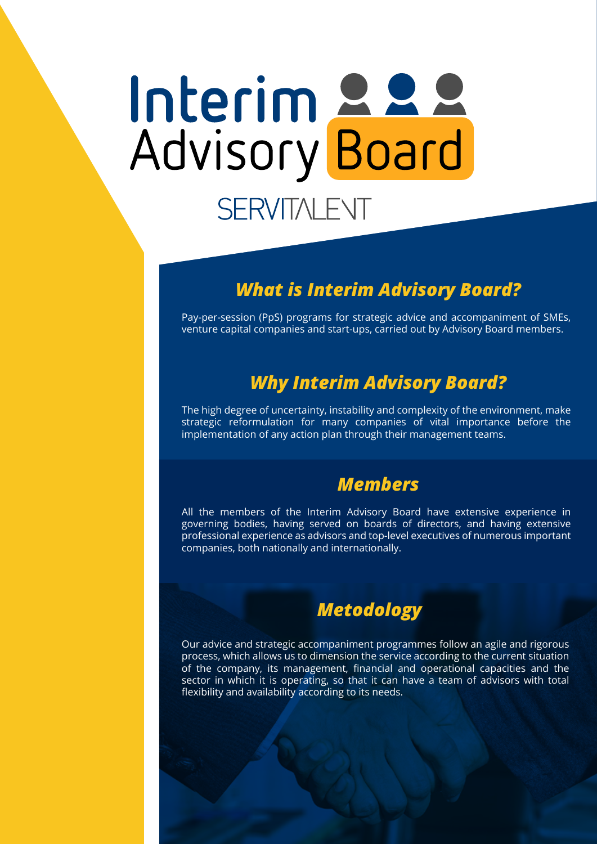# Interim<br>Advisory Board SERVITALENT

## *What is Interim Advisory Board?*

Pay-per-session (PpS) programs for strategic advice and accompaniment of SMEs, venture capital companies and start-ups, carried out by Advisory Board members.

## *Why Interim Advisory Board?*

The high degree of uncertainty, instability and complexity of the environment, make strategic reformulation for many companies of vital importance before the implementation of any action plan through their management teams.

## *Members*

All the members of the Interim Advisory Board have extensive experience in governing bodies, having served on boards of directors, and having extensive professional experience as advisors and top-level executives of numerous important companies, both nationally and internationally.

## *Metodology*

Our advice and strategic accompaniment programmes follow an agile and rigorous process, which allows us to dimension the service according to the current situation of the company, its management, financial and operational capacities and the sector in which it is operating, so that it can have a team of advisors with total flexibility and availability according to its needs.